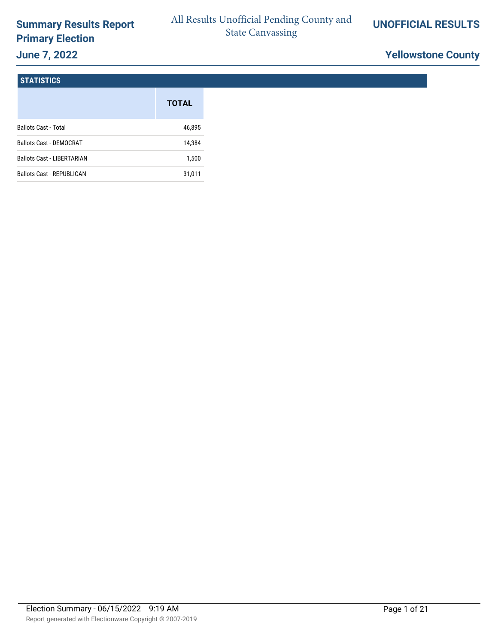# **Summary Results Report Primary Election June 7, 2022**

# **Yellowstone County**

#### **STATISTICS**

|                                   | <b>TOTAL</b> |
|-----------------------------------|--------------|
| <b>Ballots Cast - Total</b>       | 46,895       |
| <b>Ballots Cast - DEMOCRAT</b>    | 14,384       |
| <b>Ballots Cast - LIBERTARIAN</b> | 1,500        |
| <b>Ballots Cast - REPUBLICAN</b>  | 31,011       |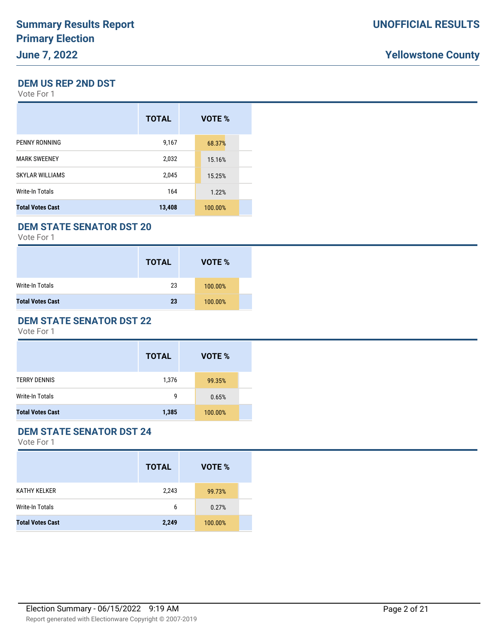#### **DEM US REP 2ND DST**

Vote For 1

|                         | <b>TOTAL</b> | VOTE %  |
|-------------------------|--------------|---------|
| PENNY RONNING           | 9,167        | 68.37%  |
| <b>MARK SWEENEY</b>     | 2,032        | 15.16%  |
| <b>SKYLAR WILLIAMS</b>  | 2,045        | 15.25%  |
| Write-In Totals         | 164          | 1.22%   |
| <b>Total Votes Cast</b> | 13,408       | 100.00% |

#### **DEM STATE SENATOR DST 20**

Vote For 1

|                         | <b>TOTAL</b> | VOTE %  |  |
|-------------------------|--------------|---------|--|
| Write-In Totals         | 23           | 100.00% |  |
| <b>Total Votes Cast</b> | 23           | 100.00% |  |

#### **DEM STATE SENATOR DST 22**

Vote For 1

|                         | <b>TOTAL</b> | VOTE %  |  |
|-------------------------|--------------|---------|--|
| <b>TERRY DENNIS</b>     | 1,376        | 99.35%  |  |
| Write-In Totals         | g            | 0.65%   |  |
| <b>Total Votes Cast</b> | 1,385        | 100.00% |  |

### **DEM STATE SENATOR DST 24**

|                         | <b>TOTAL</b> | VOTE %  |
|-------------------------|--------------|---------|
| <b>KATHY KELKER</b>     | 2,243        | 99.73%  |
| <b>Write-In Totals</b>  | 6            | 0.27%   |
| <b>Total Votes Cast</b> | 2,249        | 100.00% |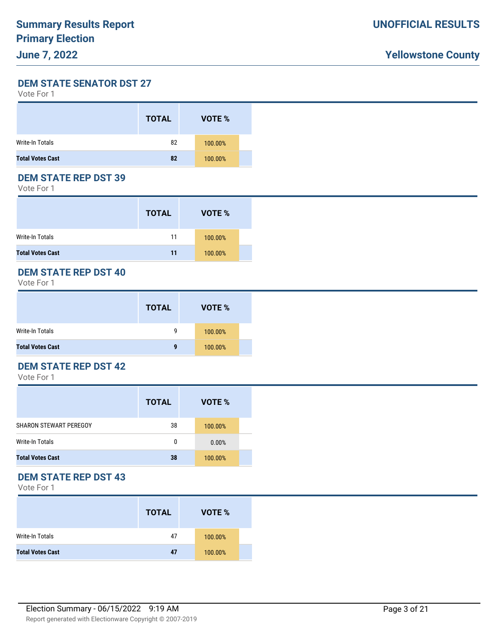**DEM STATE SENATOR DST 27**

| Vote For 1 |  |
|------------|--|
|------------|--|

|                         | <b>TOTAL</b> | VOTE %  |  |
|-------------------------|--------------|---------|--|
| Write-In Totals         | 82           | 100.00% |  |
| <b>Total Votes Cast</b> | 82           | 100.00% |  |

### **DEM STATE REP DST 39**

Vote For 1

|                         | <b>TOTAL</b> | VOTE %  |  |
|-------------------------|--------------|---------|--|
| Write-In Totals         | 11           | 100.00% |  |
| <b>Total Votes Cast</b> | 11           | 100.00% |  |

#### **DEM STATE REP DST 40**

Vote For 1

|                         | <b>TOTAL</b> | VOTE %  |  |
|-------------------------|--------------|---------|--|
| Write-In Totals         | g            | 100.00% |  |
| <b>Total Votes Cast</b> | 9            | 100.00% |  |

### **DEM STATE REP DST 42**

Vote For 1

|                               | <b>TOTAL</b> | VOTE %  |  |
|-------------------------------|--------------|---------|--|
| <b>SHARON STEWART PEREGOY</b> | 38           | 100.00% |  |
| Write-In Totals               | 0            | 0.00%   |  |
| <b>Total Votes Cast</b>       | 38           | 100.00% |  |

#### **DEM STATE REP DST 43**

|                         | <b>TOTAL</b> | VOTE %  |  |
|-------------------------|--------------|---------|--|
| Write-In Totals         | 47           | 100.00% |  |
| <b>Total Votes Cast</b> | 47           | 100.00% |  |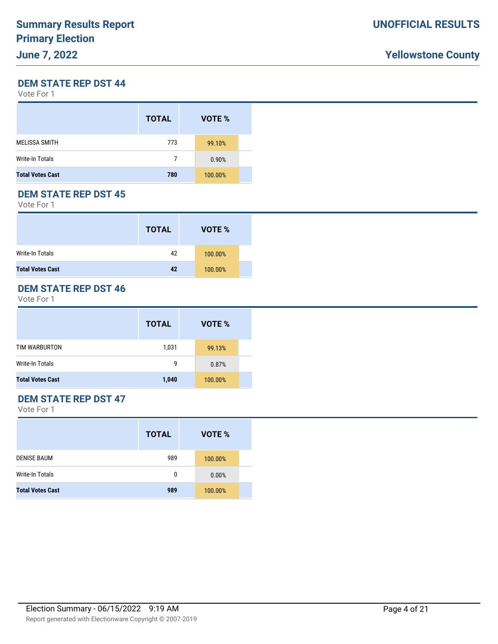#### **DEM STATE REP DST 44**

Vote For 1

|                         | <b>TOTAL</b> | VOTE %  |
|-------------------------|--------------|---------|
| <b>MELISSA SMITH</b>    | 773          | 99.10%  |
| Write-In Totals         | 7            | 0.90%   |
| <b>Total Votes Cast</b> | 780          | 100.00% |

#### **DEM STATE REP DST 45**

Vote For 1

|                         | <b>TOTAL</b> | VOTE %  |  |
|-------------------------|--------------|---------|--|
| Write-In Totals         | 42           | 100.00% |  |
| <b>Total Votes Cast</b> | 42           | 100.00% |  |

#### **DEM STATE REP DST 46**

Vote For 1

|                         | <b>TOTAL</b> | VOTE %  |
|-------------------------|--------------|---------|
| TIM WARBURTON           | 1,031        | 99.13%  |
| Write-In Totals         | 9            | 0.87%   |
| <b>Total Votes Cast</b> | 1,040        | 100.00% |

### **DEM STATE REP DST 47**

|                         | <b>TOTAL</b> | VOTE %  |
|-------------------------|--------------|---------|
| <b>DENISE BAUM</b>      | 989          | 100.00% |
| Write-In Totals         | 0            | 0.00%   |
| <b>Total Votes Cast</b> | 989          | 100.00% |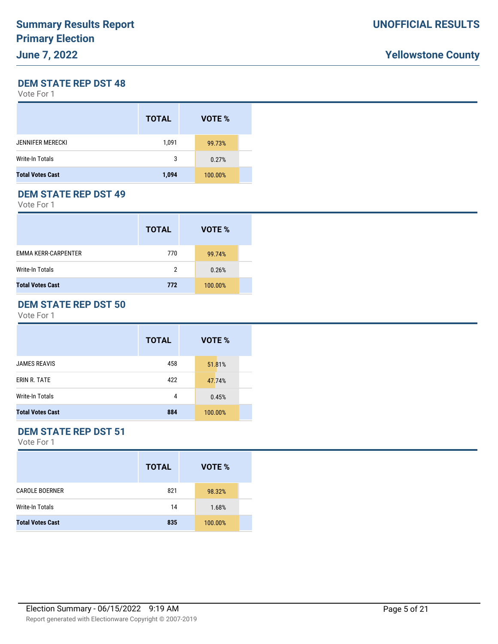#### **DEM STATE REP DST 48**

Vote For 1

|                         | <b>TOTAL</b> | VOTE %  |  |
|-------------------------|--------------|---------|--|
| <b>JENNIFER MERECKI</b> | 1,091        | 99.73%  |  |
| Write-In Totals         | 3            | 0.27%   |  |
| <b>Total Votes Cast</b> | 1,094        | 100.00% |  |

#### **DEM STATE REP DST 49**

Vote For 1

|                            | <b>TOTAL</b> | VOTE %  |  |
|----------------------------|--------------|---------|--|
| <b>EMMA KERR-CARPENTER</b> | 770          | 99.74%  |  |
| <b>Write-In Totals</b>     | 2            | 0.26%   |  |
| <b>Total Votes Cast</b>    | 772          | 100.00% |  |

#### **DEM STATE REP DST 50**

Vote For 1

|                         | <b>TOTAL</b> | VOTE %  |  |
|-------------------------|--------------|---------|--|
| <b>JAMES REAVIS</b>     | 458          | 51.81%  |  |
| ERIN R. TATE            | 422          | 47.74%  |  |
| Write-In Totals         | 4            | 0.45%   |  |
| <b>Total Votes Cast</b> | 884          | 100.00% |  |

# **DEM STATE REP DST 51**

|                         | <b>TOTAL</b> | VOTE %  |  |
|-------------------------|--------------|---------|--|
| <b>CAROLE BOERNER</b>   | 821          | 98.32%  |  |
| Write-In Totals         | 14           | 1.68%   |  |
| <b>Total Votes Cast</b> | 835          | 100.00% |  |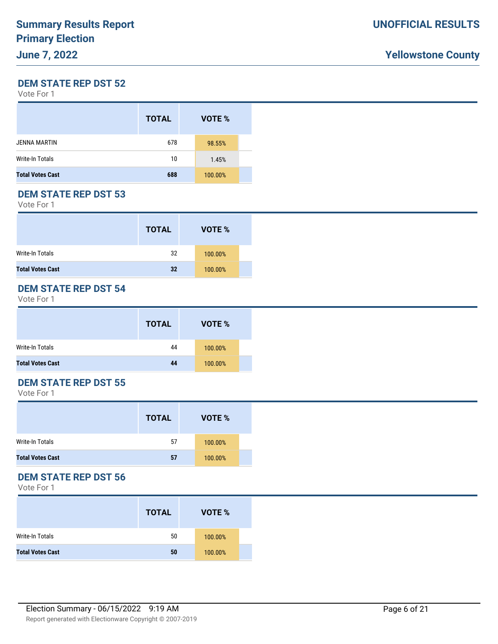#### **DEM STATE REP DST 52**

Vote For 1

|                         | <b>TOTAL</b> | VOTE %  |  |
|-------------------------|--------------|---------|--|
| <b>JENNA MARTIN</b>     | 678          | 98.55%  |  |
| <b>Write-In Totals</b>  | 10           | 1.45%   |  |
| <b>Total Votes Cast</b> | 688          | 100.00% |  |

### **DEM STATE REP DST 53**

Vote For 1

|                         | <b>TOTAL</b> | VOTE %  |  |
|-------------------------|--------------|---------|--|
| Write-In Totals         | 32           | 100.00% |  |
| <b>Total Votes Cast</b> | 32           | 100.00% |  |

### **DEM STATE REP DST 54**

Vote For 1

|                         | <b>TOTAL</b> | VOTE %  |  |
|-------------------------|--------------|---------|--|
| Write-In Totals         | 44           | 100.00% |  |
| <b>Total Votes Cast</b> | 44           | 100.00% |  |

#### **DEM STATE REP DST 55**

Vote For 1

|                         | <b>TOTAL</b> | VOTE %  |  |
|-------------------------|--------------|---------|--|
| Write-In Totals         | 57           | 100.00% |  |
| <b>Total Votes Cast</b> | 57           | 100.00% |  |

#### **DEM STATE REP DST 56**

|                         | <b>TOTAL</b> | VOTE %  |  |
|-------------------------|--------------|---------|--|
| Write-In Totals         | 50           | 100.00% |  |
| <b>Total Votes Cast</b> | 50           | 100.00% |  |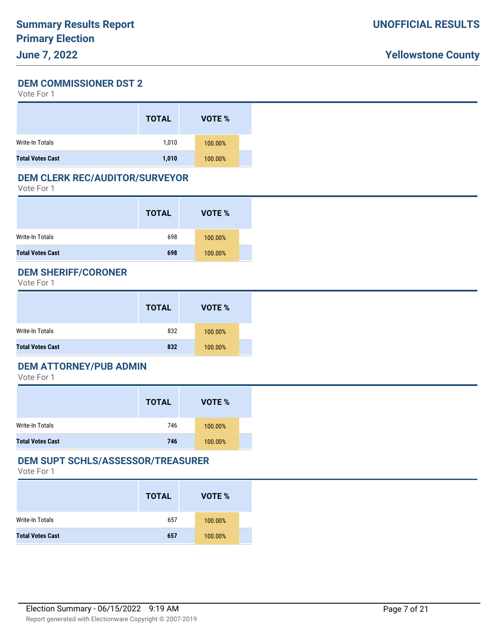**DEM COMMISSIONER DST 2** Vote For 1

|                         | <b>TOTAL</b> | <b>VOTE %</b> |  |
|-------------------------|--------------|---------------|--|
| Write-In Totals         | 1,010        | 100.00%       |  |
| <b>Total Votes Cast</b> | 1,010        | 100.00%       |  |

#### **DEM CLERK REC/AUDITOR/SURVEYOR**

Vote For 1

|                         | <b>TOTAL</b> | VOTE %  |  |
|-------------------------|--------------|---------|--|
| Write-In Totals         | 698          | 100.00% |  |
| <b>Total Votes Cast</b> | 698          | 100.00% |  |

#### **DEM SHERIFF/CORONER**

Vote For 1

|                         | <b>TOTAL</b> | VOTE %  |  |
|-------------------------|--------------|---------|--|
| Write-In Totals         | 832          | 100.00% |  |
| <b>Total Votes Cast</b> | 832          | 100.00% |  |

#### **DEM ATTORNEY/PUB ADMIN**

Vote For 1

|                         | <b>TOTAL</b> | VOTE %  |  |
|-------------------------|--------------|---------|--|
| Write-In Totals         | 746          | 100.00% |  |
| <b>Total Votes Cast</b> | 746          | 100.00% |  |

#### **DEM SUPT SCHLS/ASSESSOR/TREASURER**

|                         | <b>TOTAL</b> | VOTE %  |  |
|-------------------------|--------------|---------|--|
| Write-In Totals         | 657          | 100.00% |  |
| <b>Total Votes Cast</b> | 657          | 100.00% |  |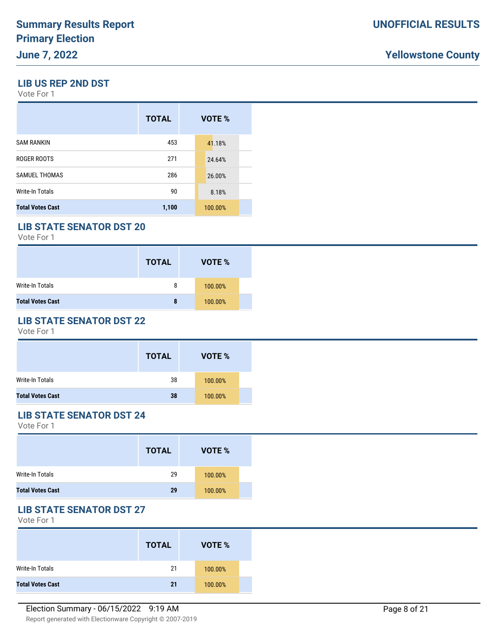#### **LIB US REP 2ND DST**

Vote For 1

|                         | <b>TOTAL</b> | VOTE %  |
|-------------------------|--------------|---------|
| <b>SAM RANKIN</b>       | 453          | 41.18%  |
| ROGER ROOTS             | 271          | 24.64%  |
| <b>SAMUEL THOMAS</b>    | 286          | 26.00%  |
| Write-In Totals         | 90           | 8.18%   |
| <b>Total Votes Cast</b> | 1,100        | 100.00% |

### **LIB STATE SENATOR DST 20**

Vote For 1

|                         | <b>TOTAL</b> | VOTE %  |  |
|-------------------------|--------------|---------|--|
| Write-In Totals         | 8            | 100.00% |  |
| <b>Total Votes Cast</b> | 8            | 100.00% |  |

#### **LIB STATE SENATOR DST 22**

Vote For 1

|                         | <b>TOTAL</b> | VOTE %  |  |
|-------------------------|--------------|---------|--|
| Write-In Totals         | 38           | 100.00% |  |
| <b>Total Votes Cast</b> | 38           | 100.00% |  |

### **LIB STATE SENATOR DST 24**

Vote For 1

|                         | <b>TOTAL</b> | VOTE %  |
|-------------------------|--------------|---------|
| Write-In Totals         | 29           | 100.00% |
| <b>Total Votes Cast</b> | 29           | 100.00% |

### **LIB STATE SENATOR DST 27**

|                         | <b>TOTAL</b> | VOTE %  |
|-------------------------|--------------|---------|
| Write-In Totals         | 21           | 100.00% |
| <b>Total Votes Cast</b> | 21           | 100.00% |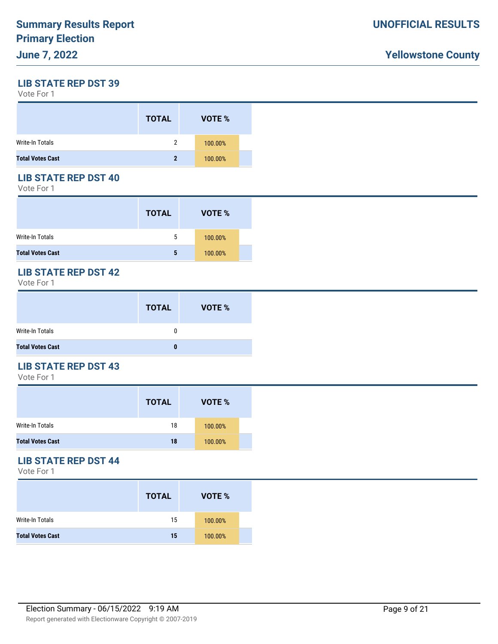**LIB STATE REP DST 39**

Vote For 1

|                         | <b>TOTAL</b> | VOTE %  |  |
|-------------------------|--------------|---------|--|
| <b>Write-In Totals</b>  | 2            | 100.00% |  |
| <b>Total Votes Cast</b> | 2            | 100.00% |  |

### **LIB STATE REP DST 40**

Vote For 1

|                         | <b>TOTAL</b> | VOTE %  |  |
|-------------------------|--------------|---------|--|
| Write-In Totals         | 5            | 100.00% |  |
| <b>Total Votes Cast</b> | 5            | 100.00% |  |

# **LIB STATE REP DST 42**

Vote For 1

|                         | <b>TOTAL</b> | <b>VOTE %</b> |
|-------------------------|--------------|---------------|
| Write-In Totals         | 0            |               |
| <b>Total Votes Cast</b> |              |               |

#### **LIB STATE REP DST 43**

Vote For 1

|                         | <b>TOTAL</b> | VOTE %  |  |
|-------------------------|--------------|---------|--|
| Write-In Totals         | 18           | 100.00% |  |
| <b>Total Votes Cast</b> | 18           | 100.00% |  |

### **LIB STATE REP DST 44**

|                         | <b>TOTAL</b> | VOTE %  |
|-------------------------|--------------|---------|
| Write-In Totals         | 15           | 100.00% |
| <b>Total Votes Cast</b> | 15           | 100.00% |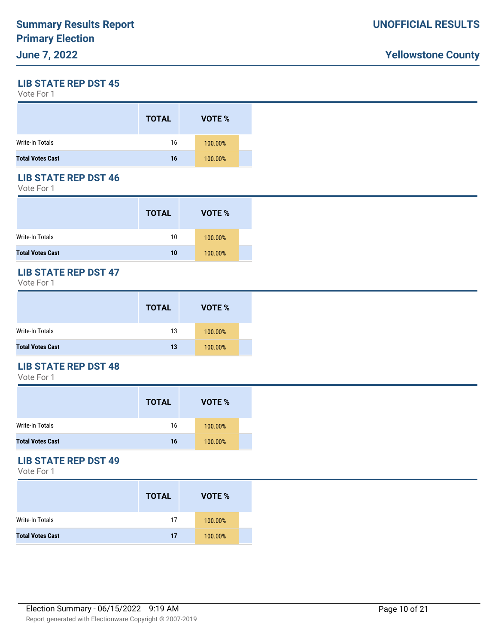**LIB STATE REP DST 45**

Vote For 1

|                         | <b>TOTAL</b> | VOTE %  |  |
|-------------------------|--------------|---------|--|
| Write-In Totals         | 16           | 100.00% |  |
| <b>Total Votes Cast</b> | 16           | 100.00% |  |

### **LIB STATE REP DST 46**

Vote For 1

|                         | <b>TOTAL</b> | VOTE %  |  |
|-------------------------|--------------|---------|--|
| Write-In Totals         | 10           | 100.00% |  |
| <b>Total Votes Cast</b> | 10           | 100.00% |  |

#### **LIB STATE REP DST 47**

Vote For 1

|                         | <b>TOTAL</b> | VOTE %  |  |
|-------------------------|--------------|---------|--|
| Write-In Totals         | 13           | 100.00% |  |
| <b>Total Votes Cast</b> | 13           | 100.00% |  |

### **LIB STATE REP DST 48**

Vote For 1

|                         | <b>TOTAL</b> | VOTE %  |  |
|-------------------------|--------------|---------|--|
| Write-In Totals         | 16           | 100.00% |  |
| <b>Total Votes Cast</b> | 16           | 100.00% |  |

### **LIB STATE REP DST 49**

|                         | <b>TOTAL</b> | VOTE %  |  |
|-------------------------|--------------|---------|--|
| Write-In Totals         | 17           | 100.00% |  |
| <b>Total Votes Cast</b> | 17           | 100.00% |  |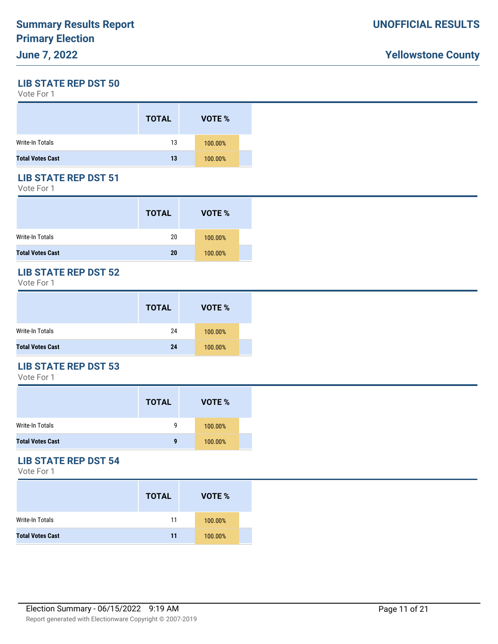**LIB STATE REP DST 50**

Vote For 1

|                         | <b>TOTAL</b> | VOTE %  |
|-------------------------|--------------|---------|
| <b>Write-In Totals</b>  | 13           | 100.00% |
| <b>Total Votes Cast</b> | 13           | 100.00% |

### **LIB STATE REP DST 51**

Vote For 1

|                         | <b>TOTAL</b> | VOTE %  |  |
|-------------------------|--------------|---------|--|
| Write-In Totals         | 20           | 100.00% |  |
| <b>Total Votes Cast</b> | 20           | 100.00% |  |

# **LIB STATE REP DST 52**

Vote For 1

|                         | <b>TOTAL</b> | VOTE %  |  |
|-------------------------|--------------|---------|--|
| Write-In Totals         | 24           | 100.00% |  |
| <b>Total Votes Cast</b> | 24           | 100.00% |  |

### **LIB STATE REP DST 53**

Vote For 1

|                         | <b>TOTAL</b> | VOTE %  |  |
|-------------------------|--------------|---------|--|
| <b>Write-In Totals</b>  | g            | 100.00% |  |
| <b>Total Votes Cast</b> | q            | 100.00% |  |

#### **LIB STATE REP DST 54**

|                         | <b>TOTAL</b> | VOTE %  |  |
|-------------------------|--------------|---------|--|
| Write-In Totals         | 11           | 100.00% |  |
| <b>Total Votes Cast</b> | 11           | 100.00% |  |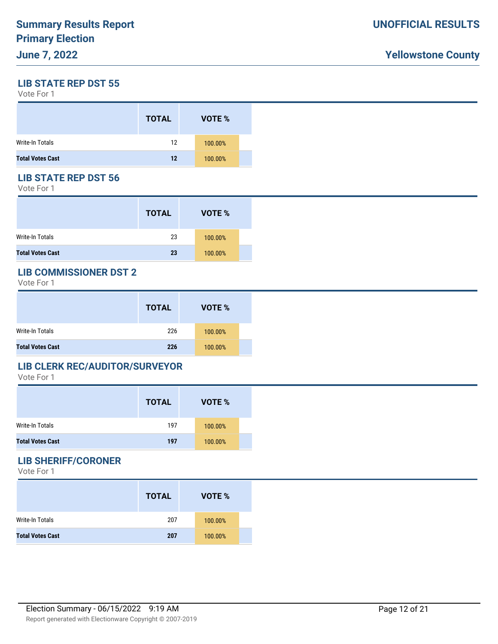**LIB STATE REP DST 55**

Vote For 1

|                         | <b>TOTAL</b> | VOTE %  |
|-------------------------|--------------|---------|
| <b>Write-In Totals</b>  | 12           | 100.00% |
| <b>Total Votes Cast</b> | 12           | 100.00% |

### **LIB STATE REP DST 56**

Vote For 1

|                         | <b>TOTAL</b> | VOTE %  |  |
|-------------------------|--------------|---------|--|
| Write-In Totals         | 23           | 100.00% |  |
| <b>Total Votes Cast</b> | 23           | 100.00% |  |

### **LIB COMMISSIONER DST 2**

Vote For 1

|                         | <b>TOTAL</b> | VOTE %  |  |
|-------------------------|--------------|---------|--|
| Write-In Totals         | 226          | 100.00% |  |
| <b>Total Votes Cast</b> | 226          | 100.00% |  |

#### **LIB CLERK REC/AUDITOR/SURVEYOR**

Vote For 1

|                         | <b>TOTAL</b> | VOTE %  |  |
|-------------------------|--------------|---------|--|
| Write-In Totals         | 197          | 100.00% |  |
| <b>Total Votes Cast</b> | 197          | 100.00% |  |

### **LIB SHERIFF/CORONER**

|                         | <b>TOTAL</b> | VOTE %  |
|-------------------------|--------------|---------|
| Write-In Totals         | 207          | 100.00% |
| <b>Total Votes Cast</b> | 207          | 100.00% |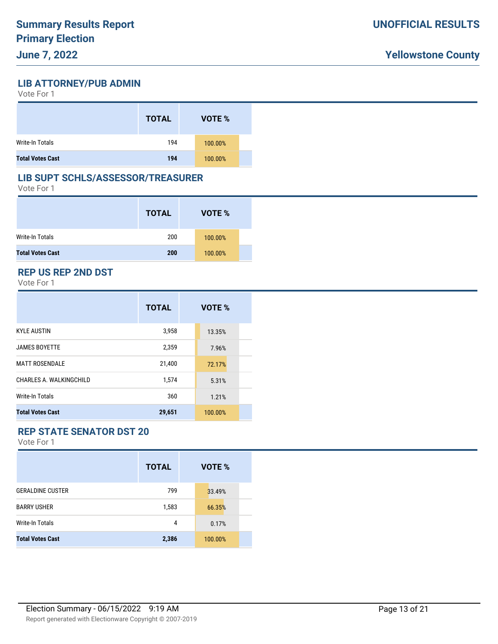**LIB ATTORNEY/PUB ADMIN**

| Vote For 1 |  |  |
|------------|--|--|
|------------|--|--|

|                         | <b>TOTAL</b> | VOTE %  |
|-------------------------|--------------|---------|
| Write-In Totals         | 194          | 100.00% |
| <b>Total Votes Cast</b> | 194          | 100.00% |

#### **LIB SUPT SCHLS/ASSESSOR/TREASURER**

Vote For 1

|                         | <b>TOTAL</b> | VOTE %  |  |
|-------------------------|--------------|---------|--|
| Write-In Totals         | 200          | 100.00% |  |
| <b>Total Votes Cast</b> | 200          | 100.00% |  |

#### **REP US REP 2ND DST**

Vote For 1

|                         | <b>TOTAL</b> | VOTE %  |
|-------------------------|--------------|---------|
| <b>KYLE AUSTIN</b>      | 3,958        | 13.35%  |
| <b>JAMES BOYETTE</b>    | 2,359        | 7.96%   |
| <b>MATT ROSENDALE</b>   | 21,400       | 72.17%  |
| CHARLES A. WALKINGCHILD | 1,574        | 5.31%   |
| Write-In Totals         | 360          | 1.21%   |
| <b>Total Votes Cast</b> | 29,651       | 100.00% |

# **REP STATE SENATOR DST 20**

|                         | <b>TOTAL</b> | VOTE %  |
|-------------------------|--------------|---------|
| <b>GERALDINE CUSTER</b> | 799          | 33.49%  |
| <b>BARRY USHER</b>      | 1,583        | 66.35%  |
| Write-In Totals         | 4            | 0.17%   |
| <b>Total Votes Cast</b> | 2,386        | 100.00% |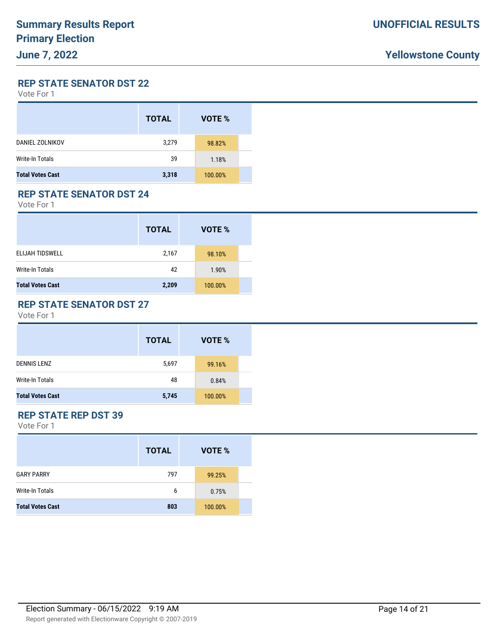**REP STATE SENATOR DST 22**

Vote For 1

|                         | <b>TOTAL</b> | VOTE %  |  |
|-------------------------|--------------|---------|--|
| DANIEL ZOLNIKOV         | 3,279        | 98.82%  |  |
| Write-In Totals         | 39           | 1.18%   |  |
| <b>Total Votes Cast</b> | 3,318        | 100.00% |  |

### **REP STATE SENATOR DST 24**

Vote For 1

|                         | <b>TOTAL</b> | VOTE %  |  |
|-------------------------|--------------|---------|--|
| <b>ELIJAH TIDSWELL</b>  | 2,167        | 98.10%  |  |
| <b>Write-In Totals</b>  | 42           | 1.90%   |  |
| <b>Total Votes Cast</b> | 2,209        | 100.00% |  |

### **REP STATE SENATOR DST 27**

Vote For 1

|                         | <b>TOTAL</b> | VOTE %  |
|-------------------------|--------------|---------|
| <b>DENNIS LENZ</b>      | 5,697        | 99.16%  |
| Write-In Totals         | 48           | 0.84%   |
| <b>Total Votes Cast</b> | 5,745        | 100.00% |

### **REP STATE REP DST 39**

|                         | VOTE %<br><b>TOTAL</b> |         |  |
|-------------------------|------------------------|---------|--|
| <b>GARY PARRY</b>       | 797                    | 99.25%  |  |
| Write-In Totals         | 6                      | 0.75%   |  |
| <b>Total Votes Cast</b> | 803                    | 100.00% |  |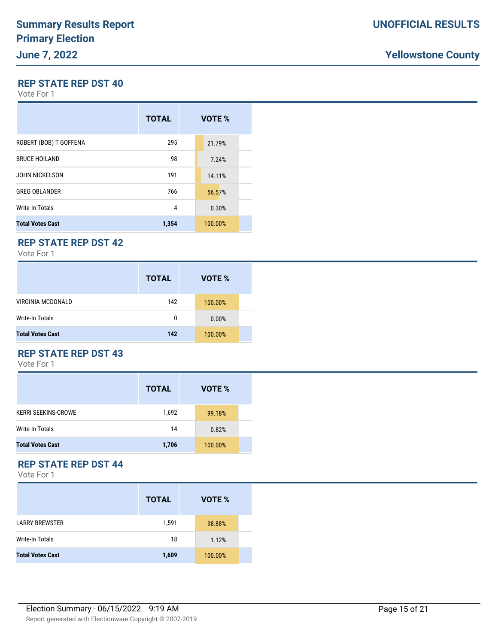#### **REP STATE REP DST 40**

Vote For 1

|                         | <b>TOTAL</b> | VOTE %  |
|-------------------------|--------------|---------|
| ROBERT (BOB) T GOFFENA  | 295          | 21.79%  |
| <b>BRUCE HOILAND</b>    | 98           | 7.24%   |
| <b>JOHN NICKELSON</b>   | 191          | 14.11%  |
| <b>GREG OBLANDER</b>    | 766          | 56.57%  |
| Write-In Totals         | 4            | 0.30%   |
| <b>Total Votes Cast</b> | 1,354        | 100.00% |

# **REP STATE REP DST 42**

Vote For 1

|                          | <b>TOTAL</b> | VOTE %  |
|--------------------------|--------------|---------|
| <b>VIRGINIA MCDONALD</b> | 142          | 100.00% |
| Write-In Totals          | 0            | 0.00%   |
| <b>Total Votes Cast</b>  | 142          | 100.00% |

### **REP STATE REP DST 43**

Vote For 1

|                            | <b>TOTAL</b> | VOTE %  |  |
|----------------------------|--------------|---------|--|
| <b>KERRI SEEKINS-CROWE</b> | 1,692        | 99.18%  |  |
| Write-In Totals            | 14           | 0.82%   |  |
| <b>Total Votes Cast</b>    | 1,706        | 100.00% |  |

### **REP STATE REP DST 44**

|                         | <b>TOTAL</b> | VOTE %  |  |
|-------------------------|--------------|---------|--|
| <b>LARRY BREWSTER</b>   | 1,591        | 98.88%  |  |
| <b>Write-In Totals</b>  | 18           | 1.12%   |  |
| <b>Total Votes Cast</b> | 1,609        | 100.00% |  |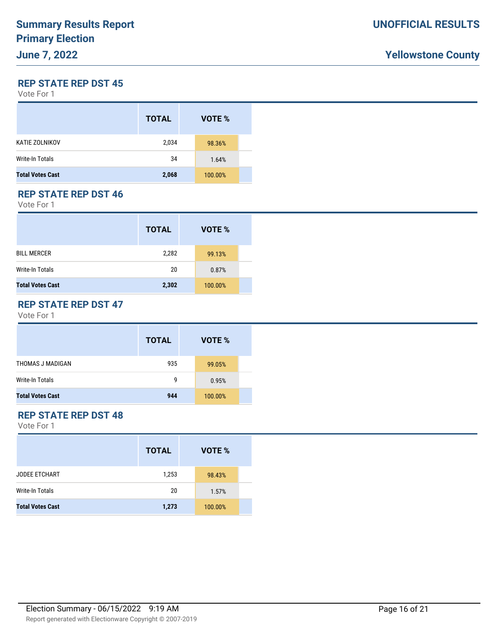#### **REP STATE REP DST 45**

Vote For 1

|                         | <b>TOTAL</b> | VOTE %  |  |
|-------------------------|--------------|---------|--|
| KATIE ZOLNIKOV          | 2,034        | 98.36%  |  |
| Write-In Totals         | 34           | 1.64%   |  |
| <b>Total Votes Cast</b> | 2,068        | 100.00% |  |

### **REP STATE REP DST 46**

Vote For 1

|                         | <b>TOTAL</b> | VOTE %  |  |
|-------------------------|--------------|---------|--|
| <b>BILL MERCER</b>      | 2,282        | 99.13%  |  |
| Write-In Totals         | 20           | 0.87%   |  |
| <b>Total Votes Cast</b> | 2,302        | 100.00% |  |

#### **REP STATE REP DST 47**

Vote For 1

|                         | <b>TOTAL</b> | VOTE %  |
|-------------------------|--------------|---------|
| THOMAS J MADIGAN        | 935          | 99.05%  |
| Write-In Totals         | g            | 0.95%   |
| <b>Total Votes Cast</b> | 944          | 100.00% |

#### **REP STATE REP DST 48**

|                         | <b>TOTAL</b> | VOTE %  |  |
|-------------------------|--------------|---------|--|
| <b>JODEE ETCHART</b>    | 1,253        | 98.43%  |  |
| <b>Write-In Totals</b>  | 20           | 1.57%   |  |
| <b>Total Votes Cast</b> | 1,273        | 100.00% |  |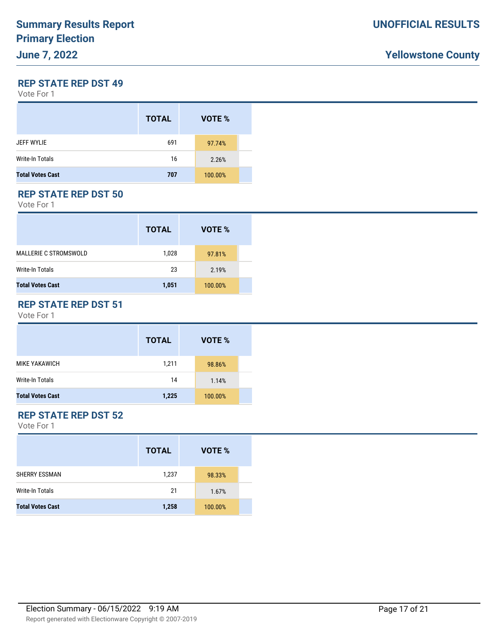**REP STATE REP DST 49**

Vote For 1

|                         | <b>TOTAL</b> | VOTE %  |  |
|-------------------------|--------------|---------|--|
| <b>JEFF WYLIE</b>       | 691          | 97.74%  |  |
| <b>Write-In Totals</b>  | 16           | 2.26%   |  |
| <b>Total Votes Cast</b> | 707          | 100.00% |  |

#### **REP STATE REP DST 50**

Vote For 1

|                              | <b>TOTAL</b> | VOTE %  |
|------------------------------|--------------|---------|
| <b>MALLERIE C STROMSWOLD</b> | 1,028        | 97.81%  |
| Write-In Totals              | 23           | 2.19%   |
| <b>Total Votes Cast</b>      | 1,051        | 100.00% |

### **REP STATE REP DST 51**

Vote For 1

|                         | <b>TOTAL</b> | VOTE %  |
|-------------------------|--------------|---------|
| MIKE YAKAWICH           | 1,211        | 98.86%  |
| Write-In Totals         | 14           | 1.14%   |
| <b>Total Votes Cast</b> | 1,225        | 100.00% |

### **REP STATE REP DST 52**

|                         | <b>TOTAL</b> | VOTE %  |  |
|-------------------------|--------------|---------|--|
| <b>SHERRY ESSMAN</b>    | 1,237        | 98.33%  |  |
| Write-In Totals         | 21           | 1.67%   |  |
| <b>Total Votes Cast</b> | 1,258        | 100.00% |  |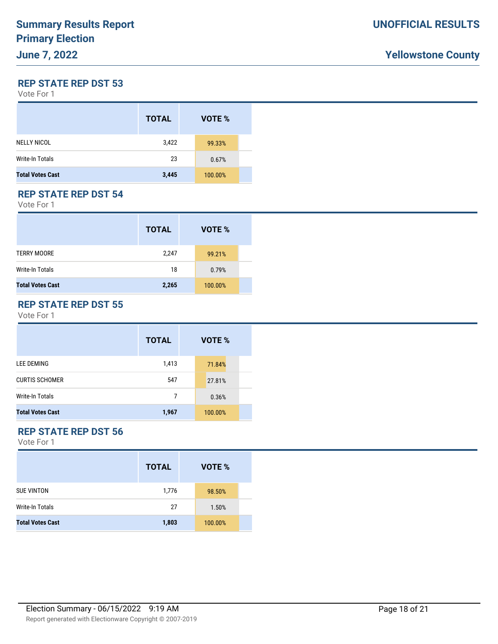#### **REP STATE REP DST 53**

Vote For 1

|                         | <b>TOTAL</b> | VOTE %  |
|-------------------------|--------------|---------|
| <b>NELLY NICOL</b>      | 3,422        | 99.33%  |
| <b>Write-In Totals</b>  | 23           | 0.67%   |
| <b>Total Votes Cast</b> | 3,445        | 100.00% |

#### **REP STATE REP DST 54**

Vote For 1

|                         | <b>TOTAL</b> | VOTE %  |
|-------------------------|--------------|---------|
| <b>TERRY MOORE</b>      | 2,247        | 99.21%  |
| Write-In Totals         | 18           | 0.79%   |
| <b>Total Votes Cast</b> | 2,265        | 100.00% |

#### **REP STATE REP DST 55**

Vote For 1

|                         | <b>TOTAL</b> | <b>VOTE %</b> |  |
|-------------------------|--------------|---------------|--|
| <b>LEE DEMING</b>       | 1,413        | 71.84%        |  |
| <b>CURTIS SCHOMER</b>   | 547          | 27.81%        |  |
| Write-In Totals         | 7            | 0.36%         |  |
| <b>Total Votes Cast</b> | 1,967        | 100.00%       |  |

# **REP STATE REP DST 56**

|                         | <b>TOTAL</b> | VOTE %  |  |
|-------------------------|--------------|---------|--|
| <b>SUE VINTON</b>       | 1,776        | 98.50%  |  |
| Write-In Totals         | 27           | 1.50%   |  |
| <b>Total Votes Cast</b> | 1,803        | 100.00% |  |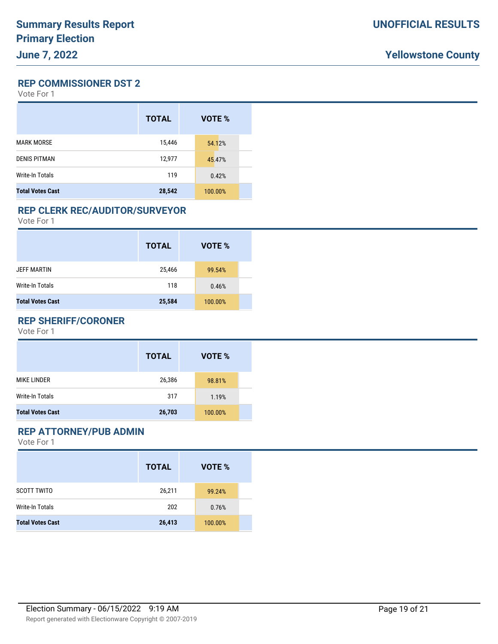**REP COMMISSIONER DST 2**

Vote For 1

|                         | <b>TOTAL</b> | VOTE %  |
|-------------------------|--------------|---------|
| <b>MARK MORSE</b>       | 15,446       | 54.12%  |
| <b>DENIS PITMAN</b>     | 12,977       | 45.47%  |
| Write-In Totals         | 119          | 0.42%   |
| <b>Total Votes Cast</b> | 28,542       | 100.00% |

#### **REP CLERK REC/AUDITOR/SURVEYOR**

Vote For 1

|                         | <b>TOTAL</b> | VOTE %  |
|-------------------------|--------------|---------|
| <b>JEFF MARTIN</b>      | 25,466       | 99.54%  |
| Write-In Totals         | 118          | 0.46%   |
| <b>Total Votes Cast</b> | 25,584       | 100.00% |

#### **REP SHERIFF/CORONER**

Vote For 1

|                         | <b>TOTAL</b> | VOTE %  |  |
|-------------------------|--------------|---------|--|
| MIKE LINDER             | 26,386       | 98.81%  |  |
| <b>Write-In Totals</b>  | 317          | 1.19%   |  |
| <b>Total Votes Cast</b> | 26,703       | 100.00% |  |

## **REP ATTORNEY/PUB ADMIN**

|                         | <b>TOTAL</b> | VOTE %  |
|-------------------------|--------------|---------|
| <b>SCOTT TWITO</b>      | 26,211       | 99.24%  |
| <b>Write-In Totals</b>  | 202          | 0.76%   |
| <b>Total Votes Cast</b> | 26,413       | 100.00% |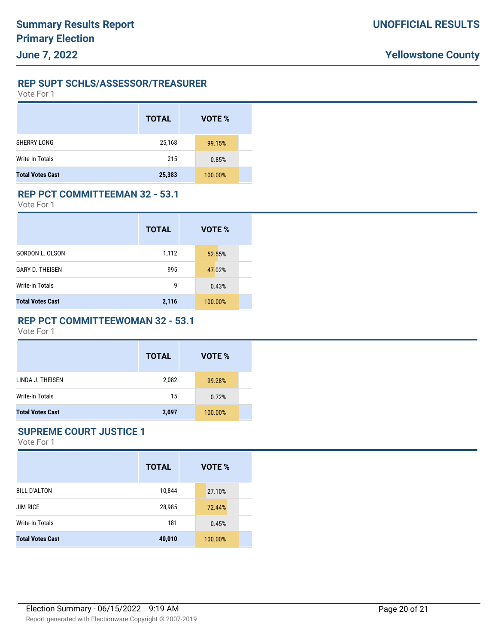#### **REP SUPT SCHLS/ASSESSOR/TREASURER**

Vote For 1

|                         | <b>TOTAL</b> | VOTE %  |  |
|-------------------------|--------------|---------|--|
| <b>SHERRY LONG</b>      | 25,168       | 99.15%  |  |
| <b>Write-In Totals</b>  | 215          | 0.85%   |  |
| <b>Total Votes Cast</b> | 25,383       | 100.00% |  |

#### **REP PCT COMMITTEEMAN 32 - 53.1**

Vote For 1

|                         | <b>TOTAL</b> | VOTE %  |
|-------------------------|--------------|---------|
| GORDON L. OLSON         | 1,112        | 52.55%  |
| <b>GARY D. THEISEN</b>  | 995          | 47.02%  |
| <b>Write-In Totals</b>  | 9            | 0.43%   |
| <b>Total Votes Cast</b> | 2,116        | 100.00% |

#### **REP PCT COMMITTEEWOMAN 32 - 53.1**

Vote For 1

|                         | <b>TOTAL</b> | VOTE %  |  |
|-------------------------|--------------|---------|--|
| LINDA J. THEISEN        | 2,082        | 99.28%  |  |
| Write-In Totals         | 15           | 0.72%   |  |
| <b>Total Votes Cast</b> | 2,097        | 100.00% |  |

### **SUPREME COURT JUSTICE 1**

|                         | <b>TOTAL</b> | VOTE %  |
|-------------------------|--------------|---------|
| <b>BILL D'ALTON</b>     | 10,844       | 27.10%  |
| <b>JIM RICE</b>         | 28,985       | 72.44%  |
| Write-In Totals         | 181          | 0.45%   |
| <b>Total Votes Cast</b> | 40,010       | 100.00% |